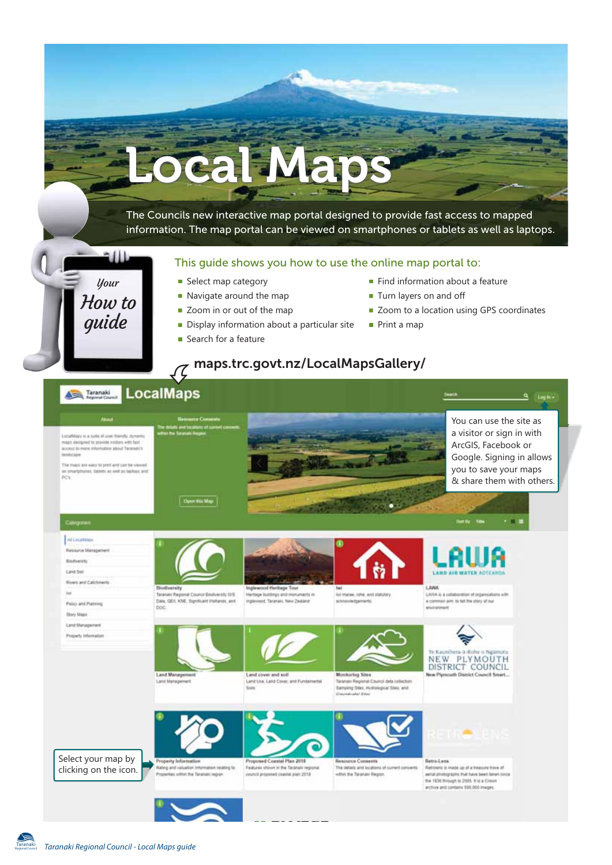

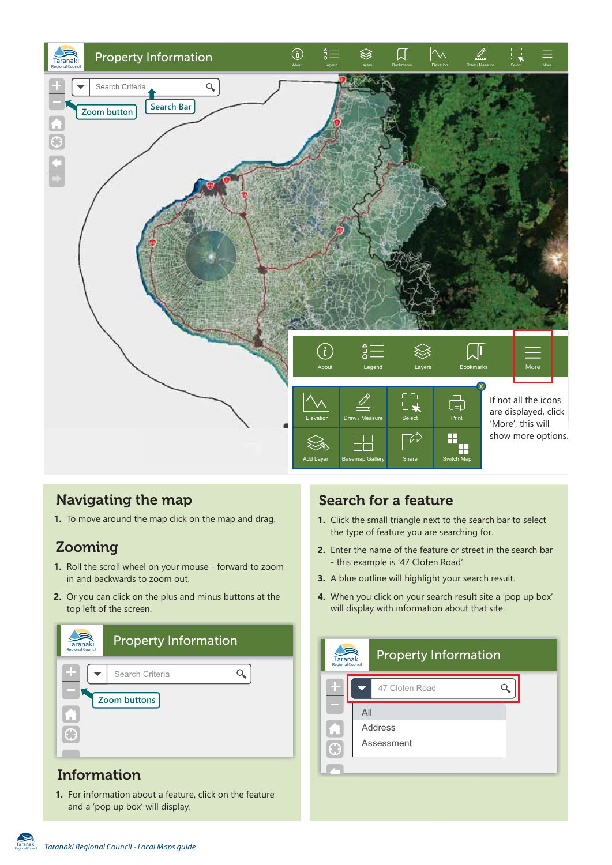

## **Navigating the map**

**1.** To move around the map click on the map and drag.

# **Zooming**

- **1.** Roll the scroll wheel on your mouse forward to zoom in and backwards to zoom out.
- **2.** Or you can click on the plus and minus buttons at the top left of the screen.

| Taranaki<br><b>Regional Council</b> | <b>Property Information</b> |  |
|-------------------------------------|-----------------------------|--|
|                                     | Search Criteria             |  |
|                                     | Zoom buttons                |  |
|                                     |                             |  |

# **Information**

Regional Council

**1.** For information about a feature, click on the feature and a 'pop up box' will display.

# **Search for a feature**

- **1.** Click the small triangle next to the search bar to select the type of feature you are searching for.
- Enter the name of the feature or street in the search bar **2.** - this example is '47 Cloten Road'.
- **3.** A blue outline will highlight your search result.
- When you click on your search result site a 'pop up box' **4.** will display with information about that site.

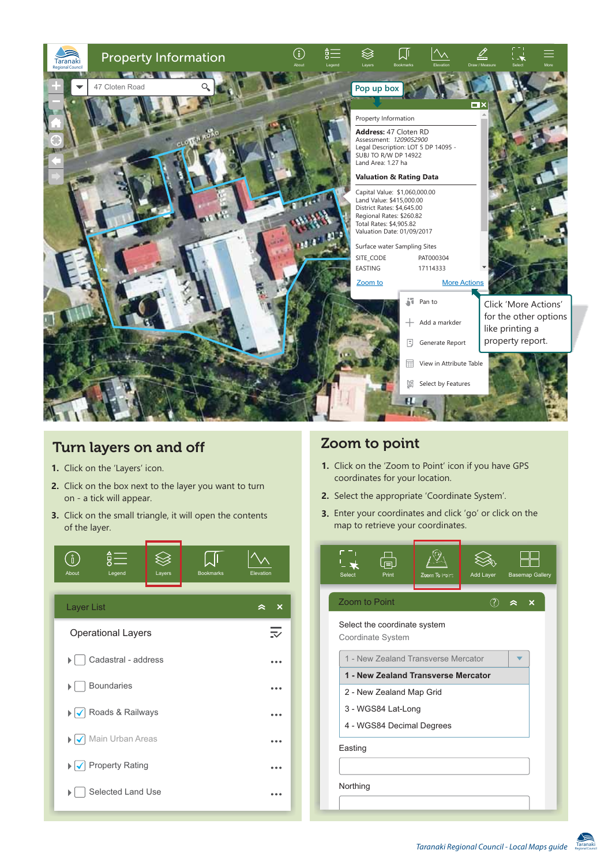

## **Turn layers on and off**

- **1.** Click on the 'Layers' icon.
- **2.** Click on the box next to the layer you want to turn on - a tick will appear.
- **3.** Click on the small triangle, it will open the contents of the layer.



### **Zoom to point**

- **1.** Click on the 'Zoom to Point' icon if you have GPS coordinates for your location.
- **2.** Select the appropriate 'Coordinate System'.
- **3.** Enter your coordinates and click 'go' or click on the map to retrieve your coordinates.

| Select               | U≡∟<br>Print                                      | Zooni To Point | Add Layer     | <b>Basemap Gallery</b> |  |
|----------------------|---------------------------------------------------|----------------|---------------|------------------------|--|
| <b>Zoom to Point</b> |                                                   |                | $\circled{?}$ | à<br>X                 |  |
|                      | Select the coordinate system<br>Coordinate System |                |               |                        |  |
|                      | 1 - New Zealand Transverse Mercator               |                |               |                        |  |
|                      | 1 - New Zealand Transverse Mercator               |                |               |                        |  |
|                      | 2 - New Zealand Map Grid                          |                |               |                        |  |
|                      | 3 - WGS84 Lat-Long                                |                |               |                        |  |
|                      | 4 - WGS84 Decimal Degrees                         |                |               |                        |  |
| Easting              |                                                   |                |               |                        |  |
|                      |                                                   |                |               |                        |  |
| Northing             |                                                   |                |               |                        |  |
|                      |                                                   |                |               |                        |  |

Regional Council